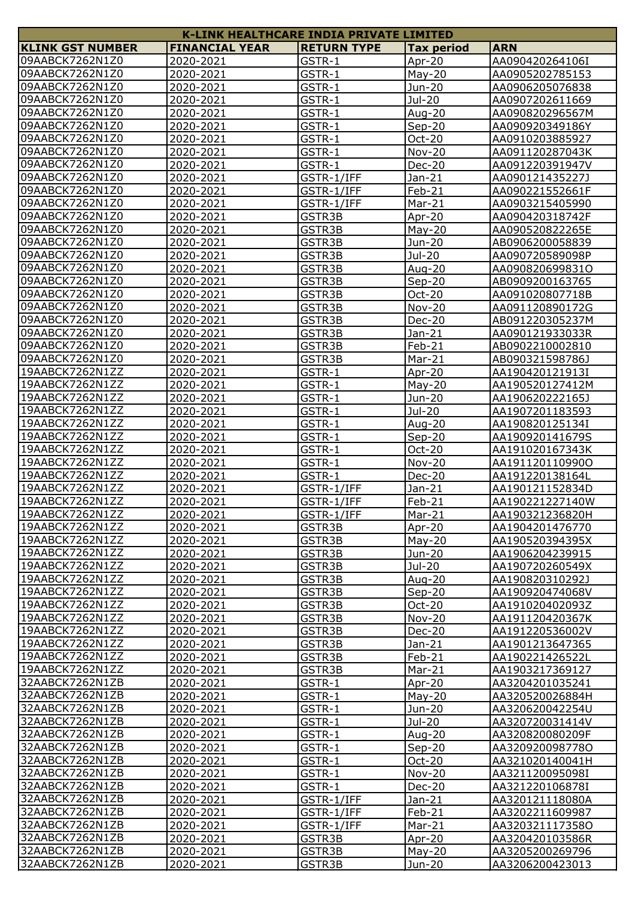| <b>K-LINK HEALTHCARE INDIA PRIVATE LIMITED</b> |                        |                    |                   |                                    |
|------------------------------------------------|------------------------|--------------------|-------------------|------------------------------------|
| <b>KLINK GST NUMBER</b>                        | <b>FINANCIAL YEAR</b>  | <b>RETURN TYPE</b> | <b>Tax period</b> | <b>ARN</b>                         |
| 09AABCK7262N1Z0                                | 2020-2021              | GSTR-1             | Apr-20            | AA090420264106I                    |
| 09AABCK7262N1Z0                                | 2020-2021              | GSTR-1             | $May-20$          | AA0905202785153                    |
| 09AABCK7262N1Z0                                | 2020-2021              | GSTR-1             | Jun-20            | AA0906205076838                    |
| 09AABCK7262N1Z0                                | 2020-2021              | GSTR-1             | Jul-20            | AA0907202611669                    |
| 09AABCK7262N1Z0                                | 2020-2021              | GSTR-1             | Aug-20            | AA090820296567M                    |
| 09AABCK7262N1Z0                                | 2020-2021              | GSTR-1             | $Sep-20$          | AA090920349186Y                    |
| 09AABCK7262N1Z0                                |                        |                    |                   |                                    |
| 09AABCK7262N1Z0                                | 2020-2021<br>2020-2021 | GSTR-1             | Oct-20            | AA0910203885927<br>AA091120287043K |
| 09AABCK7262N1Z0                                |                        | GSTR-1<br>GSTR-1   | <b>Nov-20</b>     |                                    |
| 09AABCK7262N1Z0                                | 2020-2021              |                    | <b>Dec-20</b>     | AA091220391947V                    |
|                                                | 2020-2021              | GSTR-1/IFF         | Jan-21            | AA090121435227J                    |
| 09AABCK7262N1Z0                                | 2020-2021              | GSTR-1/IFF         | Feb-21            | AA090221552661F                    |
| 09AABCK7262N1Z0                                | 2020-2021              | GSTR-1/IFF         | Mar-21            | AA0903215405990                    |
| 09AABCK7262N1Z0                                | 2020-2021              | GSTR3B             | Apr-20            | AA090420318742F                    |
| 09AABCK7262N1Z0                                | 2020-2021              | GSTR3B             | $May-20$          | AA090520822265E                    |
| 09AABCK7262N1Z0                                | 2020-2021              | GSTR3B             | Jun-20            | AB0906200058839                    |
| 09AABCK7262N1Z0                                | 2020-2021              | GSTR3B             | Jul-20            | AA090720589098P                    |
| 09AABCK7262N1Z0                                | 2020-2021              | GSTR3B             | Aug-20            | AA090820699831O                    |
| 09AABCK7262N1Z0                                | 2020-2021              | GSTR3B             | $Sep-20$          | AB0909200163765                    |
| 09AABCK7262N1Z0                                | 2020-2021              | GSTR3B             | Oct-20            | AA091020807718B                    |
| 09AABCK7262N1Z0                                | 2020-2021              | GSTR3B             | <b>Nov-20</b>     | AA091120890172G                    |
| 09AABCK7262N1Z0                                | 2020-2021              | GSTR3B             | <b>Dec-20</b>     | AB091220305237M                    |
| 09AABCK7262N1Z0                                | 2020-2021              | GSTR3B             | Jan-21            | AA090121933033R                    |
| 09AABCK7262N1Z0                                | 2020-2021              | GSTR3B             | Feb-21            | AB0902210002810                    |
| 09AABCK7262N1Z0                                | 2020-2021              | GSTR3B             | Mar-21            | AB090321598786J                    |
| 19AABCK7262N1ZZ                                | 2020-2021              | GSTR-1             | Apr-20            | AA190420121913I                    |
| 19AABCK7262N1ZZ                                | 2020-2021              | GSTR-1             | $May-20$          | AA190520127412M                    |
| 19AABCK7262N1ZZ                                | 2020-2021              | GSTR-1             | Jun-20            | AA190620222165J                    |
| 19AABCK7262N1ZZ                                | 2020-2021              | GSTR-1             | Jul-20            | AA1907201183593                    |
| 19AABCK7262N1ZZ                                | 2020-2021              | GSTR-1             | Aug-20            | AA190820125134I                    |
| 19AABCK7262N1ZZ                                | 2020-2021              |                    |                   |                                    |
| 19AABCK7262N1ZZ                                |                        | GSTR-1             | $Sep-20$          | AA190920141679S                    |
| 19AABCK7262N1ZZ                                | 2020-2021              | GSTR-1             | Oct-20            | AA191020167343K                    |
|                                                | 2020-2021              | GSTR-1             | <b>Nov-20</b>     | AA191120110990O                    |
| 19AABCK7262N1ZZ                                | 2020-2021              | GSTR-1             | <b>Dec-20</b>     | AA191220138164L                    |
| 19AABCK7262N1ZZ                                | 2020-2021              | GSTR-1/IFF         | Jan-21            | AA190121152834D                    |
| 19AABCK7262N1ZZ                                | 2020-2021              | GSTR-1/IFF         | Feb-21            | AA190221227140W                    |
| 19AABCK7262N1ZZ                                | 2020-2021              | GSTR-1/IFF         | Mar-21            | AA190321236820H                    |
| 19AABCK7262N1ZZ                                | 2020-2021              | GSTR3B             | Apr-20            | AA1904201476770                    |
| 19AABCK7262N1ZZ                                | 2020-2021              | GSTR3B             | $May-20$          | AA190520394395X                    |
| 19AABCK7262N1ZZ                                | 2020-2021              | GSTR3B             | Jun-20            | AA1906204239915                    |
| 19AABCK7262N1ZZ                                | 2020-2021              | GSTR3B             | Jul-20            | AA190720260549X                    |
| 19AABCK7262N1ZZ                                | 2020-2021              | GSTR3B             | Aug-20            | AA190820310292J                    |
| 19AABCK7262N1ZZ                                | 2020-2021              | GSTR3B             | $Sep-20$          | AA190920474068V                    |
| 19AABCK7262N1ZZ                                | 2020-2021              | GSTR3B             | Oct-20            | AA191020402093Z                    |
| 19AABCK7262N1ZZ                                | 2020-2021              | GSTR3B             | <b>Nov-20</b>     | AA191120420367K                    |
| 19AABCK7262N1ZZ                                | 2020-2021              | GSTR3B             | Dec-20            | AA191220536002V                    |
| 19AABCK7262N1ZZ                                | 2020-2021              | GSTR3B             | Jan-21            | AA1901213647365                    |
| 19AABCK7262N1ZZ                                | 2020-2021              | GSTR3B             | Feb-21            | AA190221426522L                    |
| 19AABCK7262N1ZZ                                | 2020-2021              | GSTR3B             | Mar-21            | AA1903217369127                    |
| 32AABCK7262N1ZB                                | 2020-2021              | GSTR-1             | Apr-20            | AA3204201035241                    |
| 32AABCK7262N1ZB                                | 2020-2021              | GSTR-1             | $May-20$          | AA320520026884H                    |
| 32AABCK7262N1ZB                                | 2020-2021              | GSTR-1             | Jun-20            | AA320620042254U                    |
| 32AABCK7262N1ZB                                | 2020-2021              | GSTR-1             | Jul-20            | AA320720031414V                    |
| 32AABCK7262N1ZB                                | 2020-2021              | GSTR-1             | Aug-20            | AA320820080209F                    |
| 32AABCK7262N1ZB                                | 2020-2021              | GSTR-1             | $Sep-20$          | AA320920098778O                    |
| 32AABCK7262N1ZB                                | 2020-2021              | GSTR-1             | Oct-20            | AA321020140041H                    |
| 32AABCK7262N1ZB                                |                        |                    |                   |                                    |
|                                                | 2020-2021              | GSTR-1             | <b>Nov-20</b>     | AA321120095098I                    |
| 32AABCK7262N1ZB                                | 2020-2021              | GSTR-1             | <b>Dec-20</b>     | AA321220106878I                    |
| 32AABCK7262N1ZB                                | 2020-2021              | GSTR-1/IFF         | $Jan-21$          | AA320121118080A                    |
| 32AABCK7262N1ZB                                | 2020-2021              | GSTR-1/IFF         | Feb-21            | AA3202211609987                    |
| 32AABCK7262N1ZB                                | 2020-2021              | GSTR-1/IFF         | Mar-21            | AA320321117358O                    |
| 32AABCK7262N1ZB                                | 2020-2021              | GSTR3B             | Apr-20            | AA320420103586R                    |
| 32AABCK7262N1ZB                                | 2020-2021              | GSTR3B             | $May-20$          | AA3205200269796                    |
| 32AABCK7262N1ZB                                | 2020-2021              | GSTR3B             | Jun-20            | AA3206200423013                    |